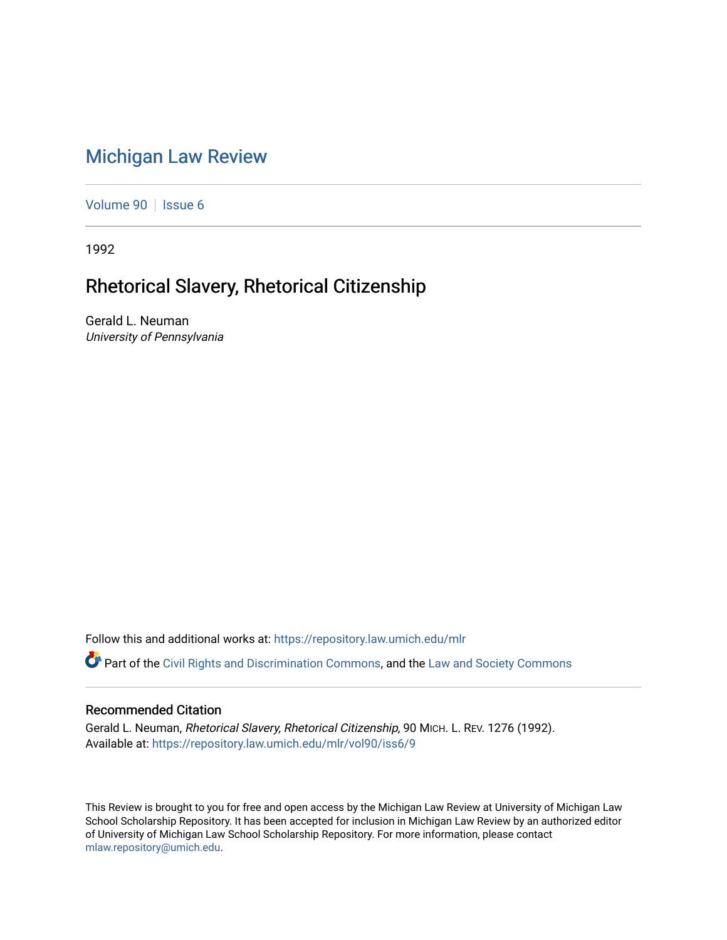## [Michigan Law Review](https://repository.law.umich.edu/mlr)

[Volume 90](https://repository.law.umich.edu/mlr/vol90) | [Issue 6](https://repository.law.umich.edu/mlr/vol90/iss6)

1992

# Rhetorical Slavery, Rhetorical Citizenship

Gerald L. Neuman University of Pennsylvania

Follow this and additional works at: [https://repository.law.umich.edu/mlr](https://repository.law.umich.edu/mlr?utm_source=repository.law.umich.edu%2Fmlr%2Fvol90%2Fiss6%2F9&utm_medium=PDF&utm_campaign=PDFCoverPages) 

Part of the [Civil Rights and Discrimination Commons,](http://network.bepress.com/hgg/discipline/585?utm_source=repository.law.umich.edu%2Fmlr%2Fvol90%2Fiss6%2F9&utm_medium=PDF&utm_campaign=PDFCoverPages) and the [Law and Society Commons](http://network.bepress.com/hgg/discipline/853?utm_source=repository.law.umich.edu%2Fmlr%2Fvol90%2Fiss6%2F9&utm_medium=PDF&utm_campaign=PDFCoverPages) 

### Recommended Citation

Gerald L. Neuman, Rhetorical Slavery, Rhetorical Citizenship, 90 MICH. L. REV. 1276 (1992). Available at: [https://repository.law.umich.edu/mlr/vol90/iss6/9](https://repository.law.umich.edu/mlr/vol90/iss6/9?utm_source=repository.law.umich.edu%2Fmlr%2Fvol90%2Fiss6%2F9&utm_medium=PDF&utm_campaign=PDFCoverPages)

This Review is brought to you for free and open access by the Michigan Law Review at University of Michigan Law School Scholarship Repository. It has been accepted for inclusion in Michigan Law Review by an authorized editor of University of Michigan Law School Scholarship Repository. For more information, please contact [mlaw.repository@umich.edu.](mailto:mlaw.repository@umich.edu)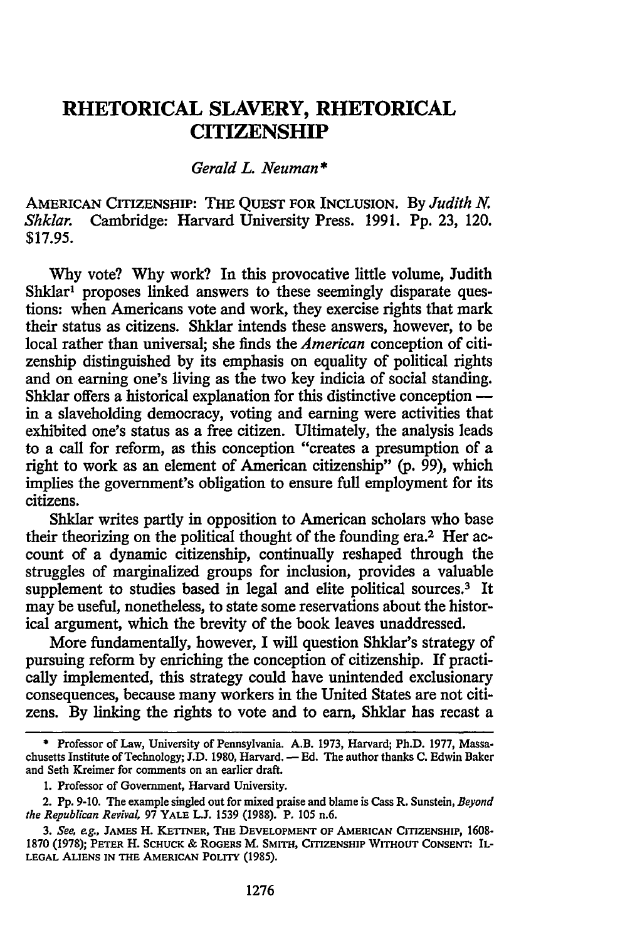## **RHETORICAL SLAVERY, RHETORICAL CITIZENSHIP**

### *Gerald L. Neuman\**

AMERICAN CITIZENSHIP: THE QUEST FOR INCLUSION. By *Judith* N. *Shklar.* Cambridge: Harvard University Press. 1991. Pp. 23, 120. \$17.95.

Why vote? Why work? In this provocative little volume, Judith Shklar<sup>1</sup> proposes linked answers to these seemingly disparate questions: when Americans vote and work, they exercise rights that mark their status as citizens. Shklar intends these answers, however, to be local rather than universal; she finds the *American* conception of citizenship distinguished by its emphasis on equality of political rights and on earning one's living as the two key indicia of social standing. Shklar offers a historical explanation for this distinctive conception in a slaveholding democracy, voting and earning were activities that exhibited one's status as a free citizen. Ultimately, the analysis leads to a call for reform, as this conception "creates a presumption of a right to work as an element of American citizenship" (p. 99), which implies the government's obligation to ensure full employment for its citizens.

Shklar writes partly in opposition to American scholars who base their theorizing on the political thought of the founding era.2 Her account of a dynamic citizenship, continually reshaped through the struggles of marginalized groups for inclusion, provides a valuable supplement to studies based in legal and elite political sources.<sup>3</sup> It may be useful, nonetheless, to state some reservations about the historical argument, which the brevity of the book leaves unaddressed.

More fundamentally, however, I will question Shklar's strategy of pursuing reform by enriching the conception of citizenship. If practically implemented, this strategy could have unintended exclusionary consequences, because many workers in the United States are not citizens. By linking the rights to vote and to earn, Shklar has recast a

<sup>•</sup> Professor of Law, University of Pennsylvania. A.B. 1973, Harvard; Ph.D. 1977, Massachusetts Institute of Technology; J.D. 1980, Harvard. - Ed. The author thanks C. Edwin Baker and Seth Kreimer for comments on an earlier draft.

<sup>1.</sup> Professor of Government, Harvard University.

<sup>2.</sup> Pp. 9-10. The example singled out for mixed praise and blame is Cass R. Sunstein, *Beyond the Republican Revival,* 97 YALE L.J. 1539 (1988). P. 105 n.6.

<sup>3.</sup> *See, e.g .•* JAMES H. KETTNER, THE DEVELOPMENT OF AMERICAN CITIZENSHIP, 1608- 1870 (1978); PETER H. SCHUCK & ROGERS M. SMITH, CITIZENSHIP WITHOUT CONSENT: IL-LEGAL ALIENS IN THE AMERICAN POLITY (1985).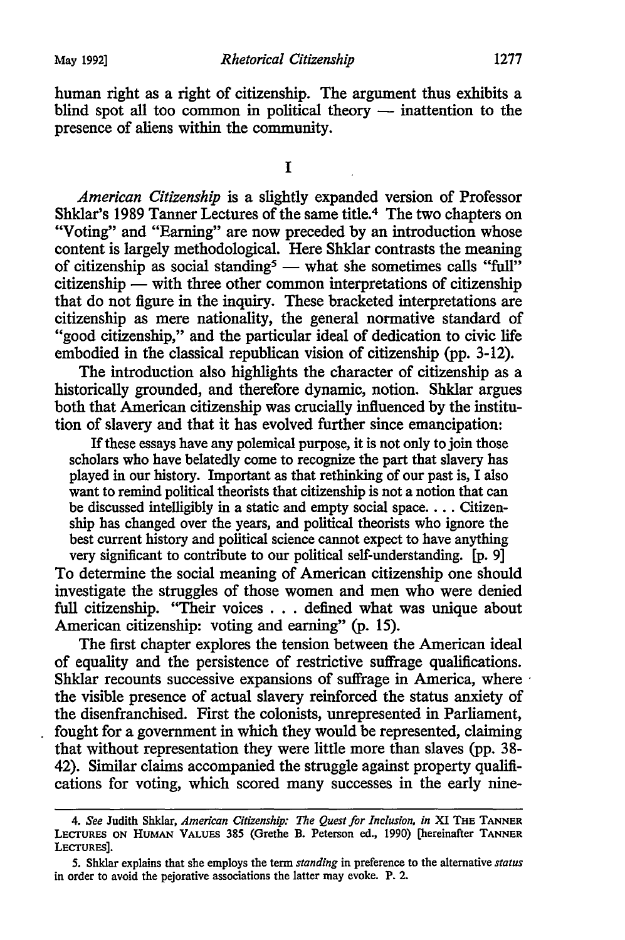human right as a right of citizenship. The argument thus exhibits a blind spot all too common in political theory  $-$  inattention to the presence of aliens within the community.

I

*American Citizenship* is a slightly expanded version of Professor Shklar's 1989 Tanner Lectures of the same title.4 The two chapters on "Voting" and "Earning" are now preceded by an introduction whose content is largely methodological. Here Shklar contrasts the meaning of citizenship as social standing<sup>5</sup>  $-$  what she sometimes calls "full"  $citizenship$   $\sim$  with three other common interpretations of citizenship that do not figure in the inquiry. These bracketed interpretations are citizenship as mere nationality, the general normative standard of "good citizenship," and the particular ideal of dedication to civic life embodied in the classical republican vision of citizenship (pp. 3-12).

The introduction also highlights the character of citizenship as a historically grounded, and therefore dynamic, notion. Shklar argues both that American citizenship was crucially influenced by the institution of slavery and that it has evolved further since emancipation:

If these essays have any polemical purpose, it is not only to join those scholars who have belatedly come to recognize the part that slavery has played in our history. Important as that rethinking of our past is, I also want to remind political theorists that citizenship is not a notion that can be discussed intelligibly in a static and empty social space. . . . Citizenship has changed over the years, and political theorists who ignore the best current history and political science cannot expect to have anything

very significant to contribute to our political self-understanding. [p. 9] To determine the social meaning of American citizenship one should investigate the struggles of those women and men who were denied full citizenship. "Their voices . . . defined what was unique about American citizenship: voting and earning" (p. 15).

The first chapter explores the tension between the American ideal of equality and the persistence of restrictive suffrage qualifications. Shklar recounts successive expansions of suffrage in America, where the visible presence of actual slavery reinforced the status anxiety of the disenfranchised. First the colonists, unrepresented in Parliament, fought for a government in which they would be represented, claiming that without representation they were little more than slaves (pp. 38- 42). Similar claims accompanied the struggle against property qualifications for voting, which scored many successes in the early nine-

<sup>4.</sup> *See* Judith Shklar, *American Citizenship: The Quest for Inclusion, in* XI THE TANNER LECTURES ON HUMAN VALUES 385 (Grethe B. Peterson ed., 1990) [hereinafter TANNER LECTURES).

<sup>5.</sup> Shklar explains that she employs the term *standing* in preference to the alternative *status*  in order to avoid the pejorative associations the latter may evoke. P. 2.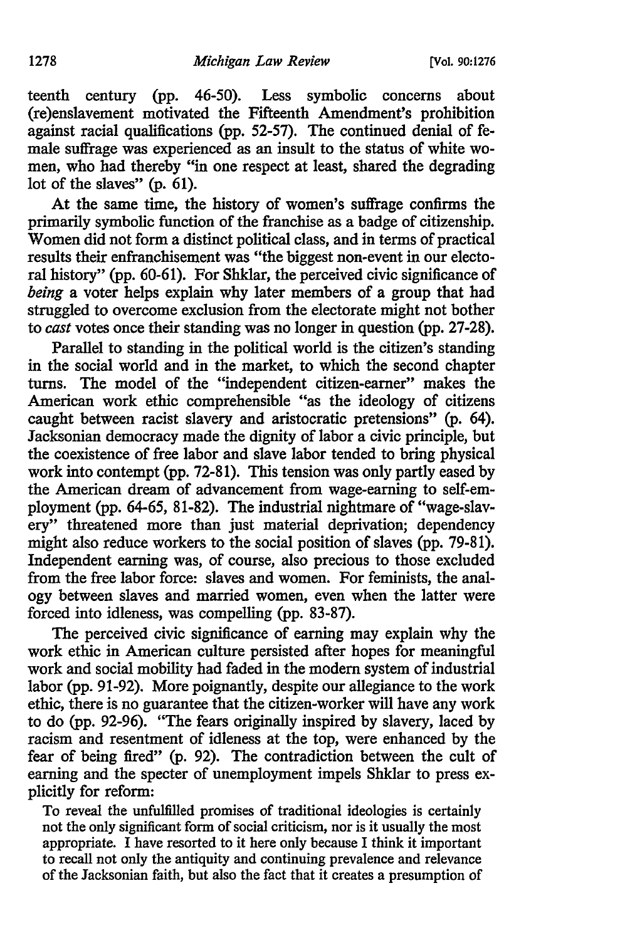teenth century (pp. 46-50). Less symbolic concerns about (re)enslavement motivated the Fifteenth Amendment's prohibition against racial qualifications (pp. 52-57). The continued denial of female suffrage was experienced as an insult to the status of white women, who had thereby "in one respect at least, shared the degrading lot of the slaves" (p. 61).

At the same time, the history of women's suffrage confirms the primarily symbolic function of the franchise as a badge of citizenship. Women did not form a distinct political class, and in terms of practical results their enfranchisement was "the biggest non-event in our electoral history" (pp. 60-61). For Shklar, the perceived civic significance of *being* a voter helps explain why later members of a group that had struggled to overcome exclusion from the electorate might not bother to *cast* votes once their standing was no longer in question (pp. 27-28).

Parallel to standing in the political world is the citizen's standing in the social world and in the market, to which the second chapter turns. The model of the "independent citizen-earner" makes the American work ethic comprehensible "as the ideology of citizens caught between racist slavery and aristocratic pretensions" (p. 64). Jacksonian democracy made the dignity of labor a civic principle, but the coexistence of free labor and slave labor tended to bring physical work into contempt (pp. 72-81). This tension was only partly eased by the American dream of advancement from wage-earning to self-employment (pp. 64-65, 81-82). The industrial nightmare of "wage-slavery" threatened more than just material deprivation; dependency might also reduce workers to the social position of slaves (pp. 79-81). Independent earning was, of course, also precious to those excluded from the free labor force: slaves and women. For feminists, the analogy between slaves and married women, even when the latter were forced into idleness, was compelling (pp. 83-87).

The perceived civic significance of earning may explain why the work ethic in American culture persisted after hopes for meaningful work and social mobility had faded in the modern system of industrial labor (pp. 91-92). More poignantly, despite our allegiance to the work ethic, there is no guarantee that the citizen-worker will have any work to do (pp. 92-96). "The fears originally inspired by slavery, laced by racism and resentment of idleness at the top, were enhanced by the fear of being fired" (p. 92). The contradiction between the cult of earning and the specter of unemployment impels Shklar to press explicitly for reform:

To reveal the unfulfilled promises of traditional ideologies is certainly not the only significant form of social criticism, nor is it usually the most appropriate. I have resorted to it here only because I think it important to recall not only the antiquity and continuing prevalence and relevance of the Jacksonian faith, but also the fact that it creates a presumption of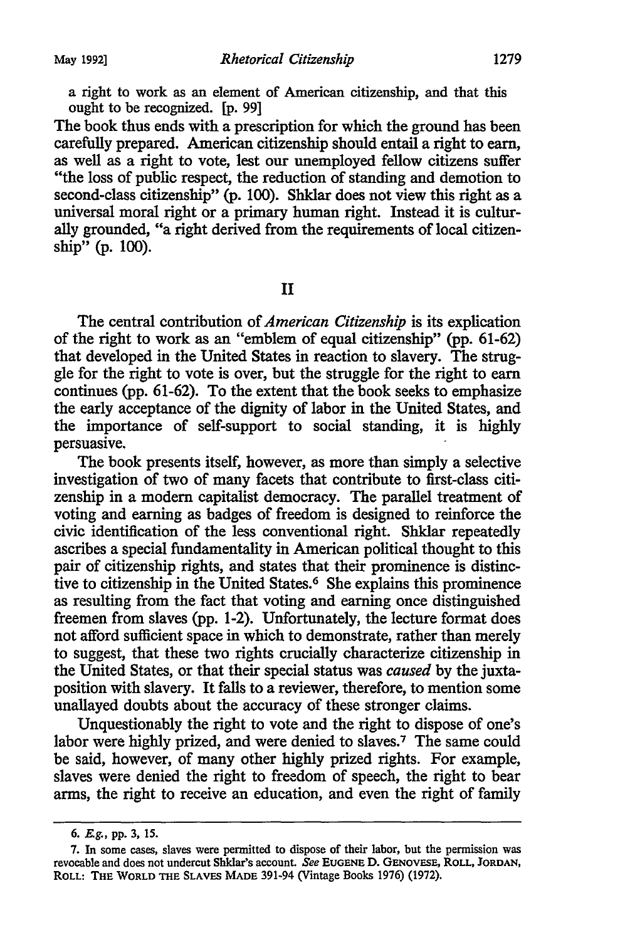a right to work as an element of American citizenship, and that this ought to be recognized. [p. 99]

The book thus ends with a prescription for which the ground has been carefully prepared. American citizenship should entail a right to earn, as well as a right to vote, lest our unemployed fellow citizens suffer "the loss of public respect, the reduction of standing and demotion to second-class citizenship" (p. 100). Shklar does not view this right as a universal moral right or a primary human right. Instead it is culturally grounded, "a right derived from the requirements of local citizenship" (p. 100).

II

The central contribution of *American Citizenship* is its explication of the right to work as an "emblem of equal citizenship" (pp. 61-62) that developed in the United States in reaction to slavery. The struggle for the right to vote is over, but the struggle for the right to earn continues (pp. 61-62). To the extent that the book seeks to emphasize the early acceptance of the dignity of labor in the United States, and the importance of self-support to social standing, it is highly persuasive.

The book presents itself, however, as more than simply a selective investigation of two of many facets that contribute to first-class citizenship in a modem capitalist democracy. The parallel treatment of voting and earning as badges of freedom is designed to reinforce the civic identification of the less conventional right. Shklar repeatedly ascribes a special fundamentality in American political thought to this pair of citizenship rights, and states that their prominence is distinctive to citizenship in the United States.<sup>6</sup> She explains this prominence as resulting from the fact that voting and earning once distinguished freemen from slaves (pp. 1-2). Unfortunately, the lecture format does not afford sufficient space in which to demonstrate, rather than merely to suggest, that these two rights crucially characterize citizenship in the United States, or that their special status was *caused* by the juxtaposition with slavery. It falls to a reviewer, therefore, to mention some unallayed doubts about the accuracy of these stronger claims.

Unquestionably the right to vote and the right to dispose of one's labor were highly prized, and were denied to slaves.<sup>7</sup> The same could be said, however, of many other highly prized rights. For example, slaves were denied the right to freedom of speech, the right to bear arms, the right to receive an education, and even the right of family

<sup>6.</sup> E.g., pp. 3, 15.

<sup>7.</sup> In some cases, slaves were permitted to dispose of their labor, but the permission was revocable and does not undercut Shklar's account. *See* EUGENE D. GENOVESE, ROLL, JORDAN, ROLL: THE WORLD THE SLAVES MADE 391-94 (Vintage Books 1976) (1972).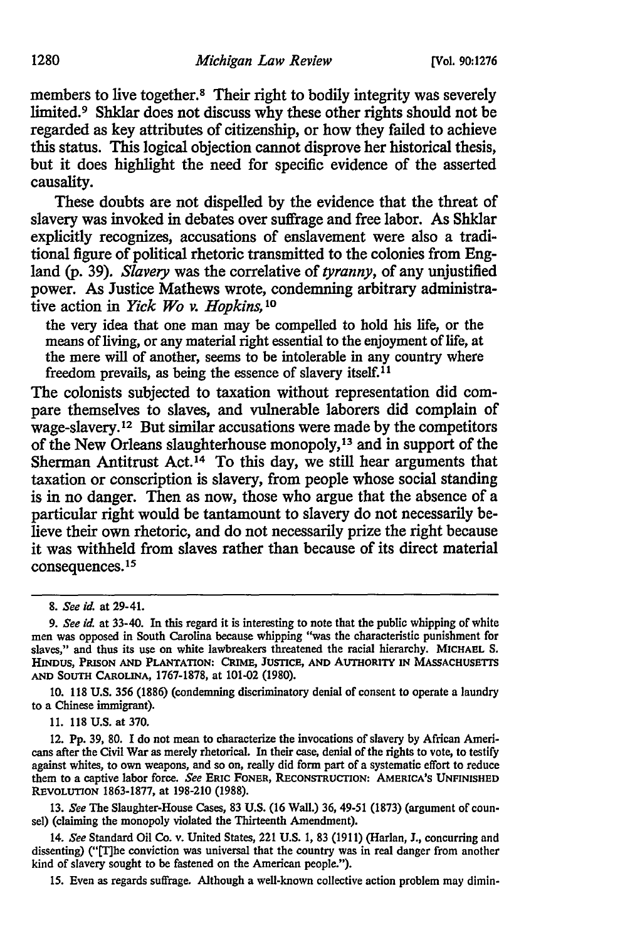members to live together.<sup>8</sup> Their right to bodily integrity was severely limited.9 Shklar does not discuss why these other rights should not be regarded as key attributes of citizenship, or how they failed to achieve this status. This logical objection cannot disprove her historical thesis, but it does highlight the need for specific evidence of the asserted causality.

These doubts are not dispelled by the evidence that the threat of slavery was invoked in debates over suffrage and free labor. As Shklar explicitly recognizes, accusations of enslavement were also a traditional figure of political rhetoric transmitted to the colonies from England (p. 39). *Slavery* was the correlative of *tyranny,* of any unjustified power. As Justice Mathews wrote, condemning arbitrary administrative action in *Yick Wo v. Hopkins,* <sup>10</sup>

the very idea that one man may be compelled to hold his life, or the means of living, or any material right essential to the enjoyment of life, at the mere will of another, seems to be intolerable in any country where freedom prevails, as being the essence of slavery itself.<sup>11</sup>

The colonists subjected to taxation without representation did compare themselves to slaves, and vulnerable laborers did complain of wage-slavery.<sup>12</sup> But similar accusations were made by the competitors of the New Orleans slaughterhouse monopoly, 13 and in support of the Sherman Antitrust Act.<sup>14</sup> To this day, we still hear arguments that taxation or conscription is slavery, from people whose social standing is in no danger. Then as now, those who argue that the absence of a particular right would be tantamount to slavery do not necessarily believe their own rhetoric, and do not necessarily prize the right because it was withheld from slaves rather than because of its direct material consequences.<sup>15</sup>

10. 118 U.S. 356 (1886) (condemning discriminatory denial of consent to operate a laundry to a Chinese immigrant).

11. 118 U.S. at 370.

12. Pp. 39, 80. I do not mean to characterize the invocations of slavery by African Americans after the Civil War as merely rhetorical. In their case, denial of the rights to vote, to testify against whites, to own weapons, and so on, really did form part of a systematic effort to reduce them to a captive labor force. See ERIC FONER, RECONSTRUCTION: AMERICA'S UNFINISHED REVOLUTION 1863-1877, at 198-210 (1988).

13. *See* The Slaughter-House Cases, 83 U.S. (16 Wall.) 36, 49-51 (1873) (argument of counsel) (claiming the monopoly violated the Thirteenth Amendment).

14. *See* Standard Oil Co. v. United States, 221 U.S. 1, 83 (1911) (Harlan, J., concurring and dissenting) ("[T]he conviction was universal that the country was in real danger from another kind of slavery sought to be fastened on the American people.").

15. Even as regards suffrage. Although a well-known collective action problem may dimin-

<sup>8.</sup> *See id.* at 29-41.

<sup>9.</sup> *See id.* at 33-40. In this regard it is interesting to note that the public whipping of white men was opposed in South Carolina because whipping "was the characteristic punishment for slaves," and thus its use on white lawbreakers threatened the racial hierarchy. MICHABL S. HINDUS, PRISON AND PLANTATION: CRIME, JUSTICE, AND AUTHORITY IN MASSACHUSETTS AND SOUTH CAROLINA, 1767-1878, at 101-02 (1980).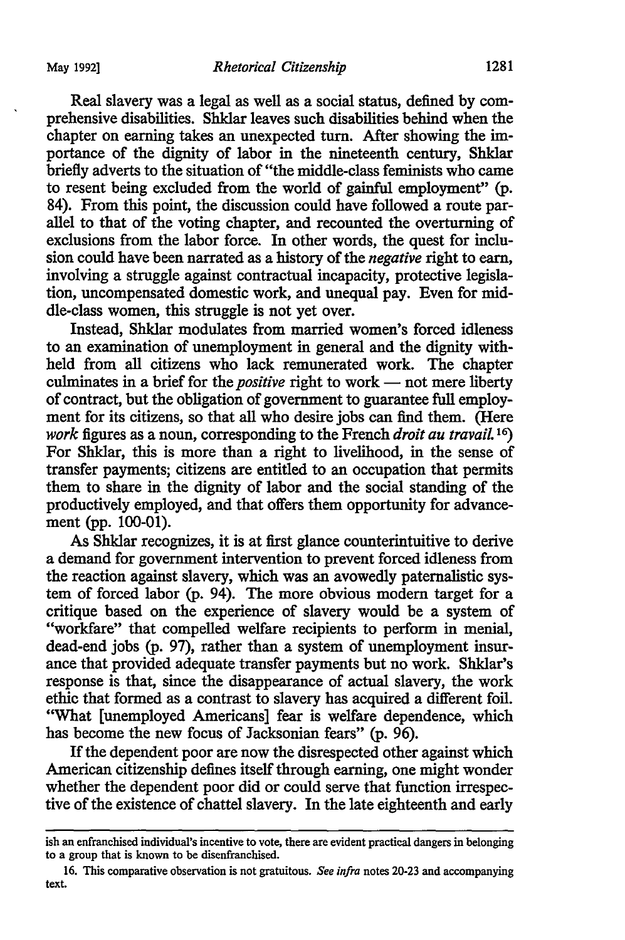Real slavery was a legal as well as a social status, defined by comprehensive disabilities. Shklar leaves such disabilities behind when the chapter on earning takes an unexpected turn. After showing the importance of the dignity of labor in the nineteenth century, Shklar briefly adverts to the situation of "the middle-class feminists who came to resent being excluded from the world of gainful employment" (p. 84). From this point, the discussion could have followed a route parallel to that of the voting chapter, and recounted the overturning of exclusions from the labor force. In other words, the quest for inclusion could have been narrated as a history of the *negative* right to earn, involving a struggle against contractual incapacity, protective legislation, uncompensated domestic work, and unequal pay. Even for middle-class women, this struggle is not yet over.

Instead, Shklar modulates from married women's forced idleness to an examination of unemployment in general and the dignity withheld from all citizens who lack remunerated work. The chapter culminates in a brief for the *positive* right to work - not mere liberty of contract, but the obligation of government to guarantee full employment for its citizens, so that all who desire jobs can find them. (Here *work* figures as a noun, corresponding to the French *droit au travail.* 16) For Shklar, this is more than a right to livelihood, in the sense of transfer payments; citizens are entitled to an occupation that permits them to share in the dignity of labor and the social standing of the productively employed, and that offers them opportunity for advancement (pp. 100-01).

As Shklar recognizes, it is at first glance counterintuitive to derive a demand for government intervention to prevent forced idleness from the reaction against slavery, which was an avowedly paternalistic system of forced labor (p. 94). The more obvious modem target for a critique based on the experience of slavery would be a system of "workfare" that compelled welfare recipients to perform in menial, dead-end jobs (p. 97), rather than a system of unemployment insurance that provided adequate transfer payments but no work. Shklar's response is that, since the disappearance of actual slavery, the work ethic that formed as a contrast to slavery has acquired a different foil. "What [unemployed Americans] fear is welfare dependence, which has become the new focus of Jacksonian fears" (p. 96).

If the dependent poor are now the disrespected other against which American citizenship defines itself through earning, one might wonder whether the dependent poor did or could serve that function irrespective of the existence of chattel slavery. In the late eighteenth and early

ish an enfranchised individual's incentive to vote, there are evident practical dangers in belonging to a group that is known to be disenfranchised.

<sup>16.</sup> This comparative observation is not gratuitous. *See infra* notes 20-23 and accompanying text.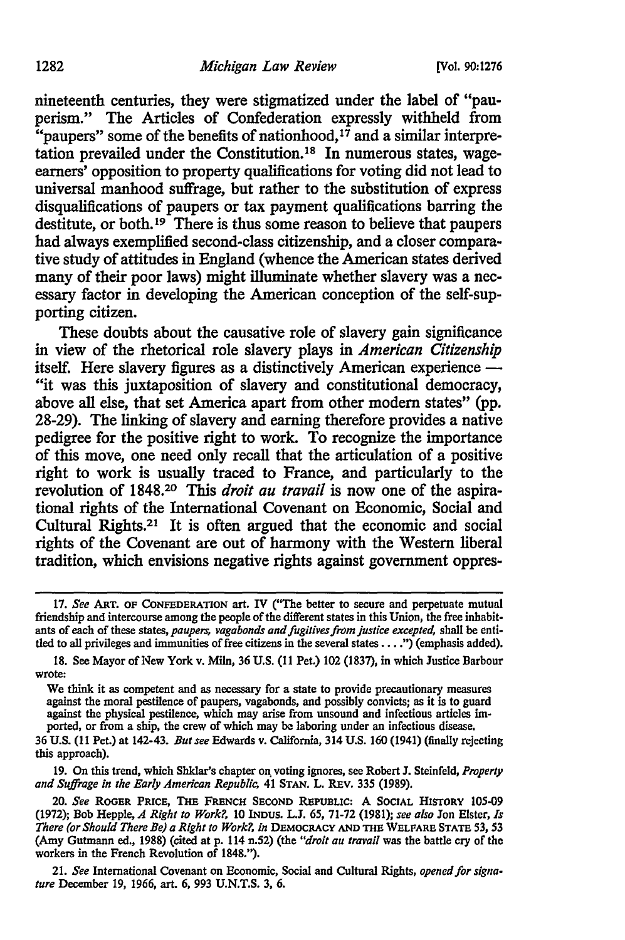nineteenth centuries, they were stigmatized under the label of "pauperism." The Articles of Confederation expressly withheld from "paupers" some of the benefits of nationhood,<sup>17</sup> and a similar interpretation prevailed under the Constitution. 18 In numerous states, wageearners' opposition to property qualifications for voting did not lead to universal manhood suffrage, but rather to the substitution of express disqualifications of paupers or tax payment qualifications barring the destitute, or both.<sup>19</sup> There is thus some reason to believe that paupers had always exemplified second-class citizenship, and a closer comparative study of attitudes in England (whence the American states derived many of their poor laws) might illuminate whether slavery was a necessary factor in developing the American conception of the self-supporting citizen.

These doubts about the causative role of slavery gain significance in view of the rhetorical role slavery plays in *American Citizenship*  itself. Here slavery figures as a distinctively American experience  $\stackrel{-}{-}$ "it was this juxtaposition of slavery and constitutional democracy, above all else, that set America apart from other modem states" (pp. 28-29). The linking of slavery and earning therefore provides a native pedigree for the positive right to work. To recognize the importance of this move, one need only recall that the articulation of a positive right to work is usually traced to France, and particularly to the revolution of 1848.20 This *droit au travail* is now one of the aspirational rights of the International Covenant on Economic, Social and Cultural Rights.21 It is often argued that the economic and social rights of the Covenant are out of harmony with the Western liberal tradition, which envisions negative rights against government oppres-

We think it as competent and as necessary for a state to provide precautionary measures against the moral pestilence of paupers, vagabonds, and possibly convicts; as it is to guard against the physical pestilence, which may arise from unsound and infectious articles im· ported, or from a ship, the crew of which may be laboring under an infectious disease.

36 U.S. (11 Pet.) at 142-43. *But see* Edwards v. California, 314 U.S. 160 (1941) (finally rejecting this approach).

19. On this trend, which Shklar's chapter on. voting ignores, see Robert J. Steinfeld, *Property and Suffrage in the Early American Republic,* 41 STAN. L. REV. 335 (1989).

20. *See* ROGER PRICE, THE FRENCH SECOND REPUBLIC: A SOCIAL HISTORY 105-09 (1972); Bob Hepple, *A Right to Work?,* IO INDUS. L.J. 65, 71-72 (1981); *see also* Jon Elster, *Is There (or Should There Be) a Right to Work?, in* DEMOCRACY AND THE WELFARE STATE 53, 53 (Amy Gutmann ed., 1988) (cited at p. 114 n.52) (the *"droit au travail* was the battle cry of the workers in the French Revolution of 1848.").

21. *See* International Covenant on Economic, Social and Cultural Rights, *opened for signa· ture* December 19, 1966, art. 6, 993 U.N.T.S. 3, 6.

<sup>17.</sup> *See* ART. OF CoNFEDERATION art. IV (''The better to secure and perpetuate mutunl friendship and intercourse among the people of the different states in this Union, the free inhabit· ants of each of these states, *paupers, vagabonds and fugitives from justice excepted,* shall be enti· tled to all privileges and immunities of free citizens in the several states  $\dots$ .") (emphasis added).

<sup>18.</sup> See Mayor of New York v. Miln, 36 U.S. (11Pet.)102 (1837), in which Justice Barbour wrote: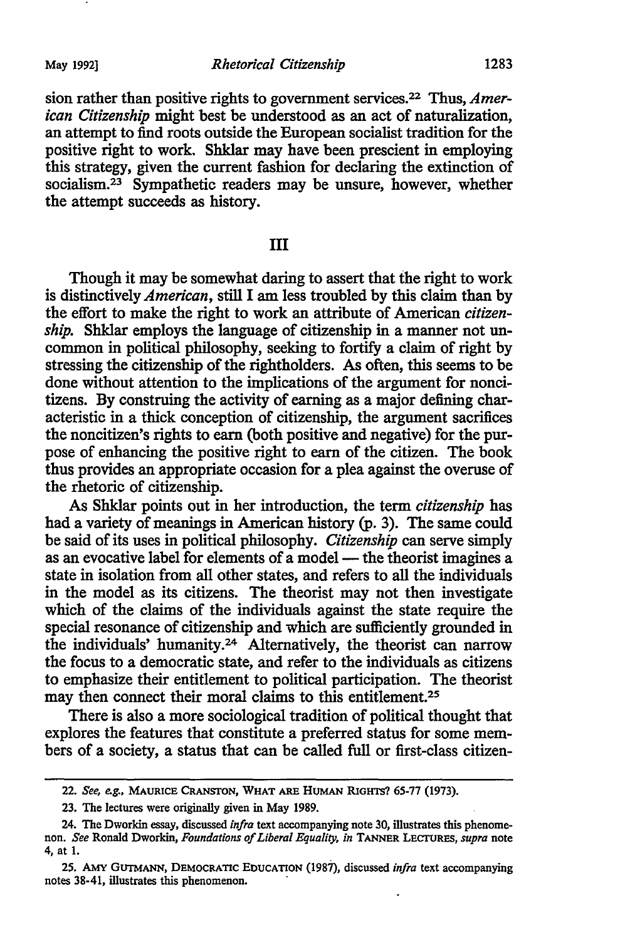May 1992] *Rhetorical Citizenship* 1283

sion rather than positive rights to government services.22 Thus, *American Citizenship* might best be understood as an act of naturalization, an attempt to find roots outside the European socialist tradition for the positive right to work. Shklar may have been prescient in employing this strategy, given the current fashion for declaring the extinction of socialism.<sup>23</sup> Sympathetic readers may be unsure, however, whether the attempt succeeds as history.

### III

Though it may be somewhat daring to assert that the right to work is distinctively *American,* still I am less troubled by this claim than by the effort to make the right to work an attribute of American *citizenship.* Shklar employs the language of citizenship in a manner not uncommon in political philosophy, seeking to fortify a claim of right by stressing the citizenship of the rightholders. As often, this seems to be done without attention to the implications of the argument for noncitizens. By construing the activity of earning as a major defining characteristic in a thick conception of citizenship, the argument sacrifices the noncitizen's rights to earn (both positive and negative) for the purpose of enhancing the positive right to earn of the citizen. The book thus provides an appropriate occasion for a plea against the overuse of the rhetoric of citizenship.

As Shklar points out in her introduction, the term *citizenship* has had a variety of meanings in American history (p. 3). The same could be said of its uses in political philosophy. *Citizenship* can serve simply as an evocative label for elements of a model — the theorist imagines a state in isolation from all other states, and refers to all the individuals in the model as its citizens. The theorist may not then investigate which of the claims of the individuals against the state require the special resonance of citizenship and which are sufficiently grounded in the individuals' humanity.24 Alternatively, the theorist can narrow the focus to a democratic state, and refer to the individuals as citizens to emphasize their entitlement to political participation. The theorist may then connect their moral claims to this entitlement.<sup>25</sup>

There is also a more sociological tradition of political thought that explores the features that constitute a preferred status for some members of a society, a status that can be called full or first-class citizen-

<sup>22.</sup> *See, e.g.,* MAURICE CRANSTON, WHAT ARE HUMAN RIGHTS? 65-77 (1973).

<sup>23.</sup> The lectures were originally given in May 1989.

<sup>24.</sup> The Dworkin essay, discussed *infra* text accompanying note 30, illustrates this phenomenon. *See* Ronald Dworkin, *Foundations of Liberal Equality, in* TANNER LECTURES, *supra* note 4, at 1.

<sup>25.</sup> AMY GUTMANN, DEMOCRATIC EDUCATION (1987), discussed *infra* text accompanying notes 38-41, illustrates this phenomenon.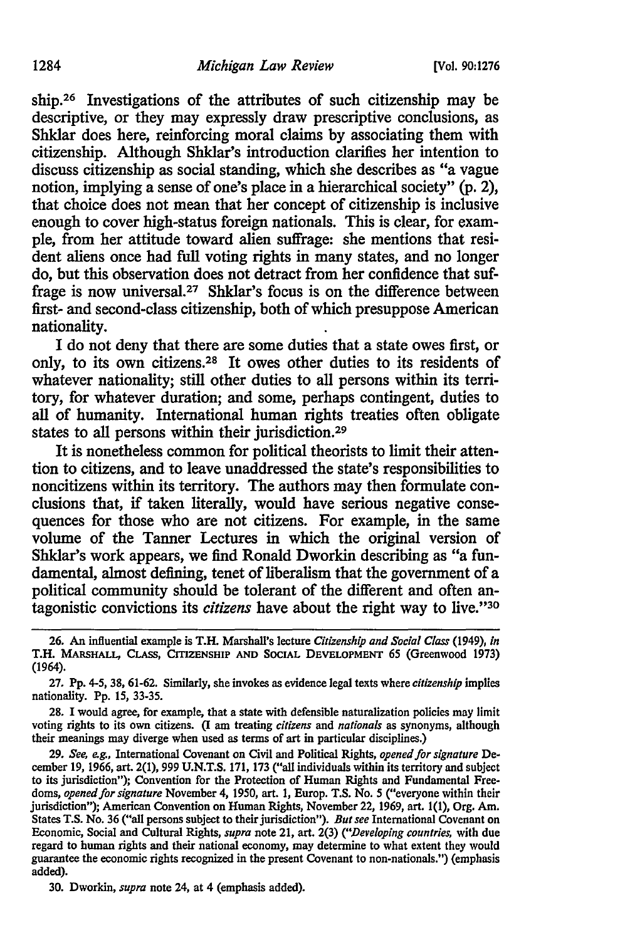ship.26 Investigations of the attributes of such citizenship may be descriptive, or they may expressly draw prescriptive conclusions, as Shklar does here, reinforcing moral claims by associating them with citizenship. Although Shklar's introduction clarifies her intention to discuss citizenship as social standing, which she describes as "a vague notion, implying a sense of one's place in a hierarchical society" (p. 2), that choice does not mean that her concept of citizenship is inclusive enough to cover high-status foreign nationals. This is clear, for example, from her attitude toward alien suffrage: she mentions that resident aliens once had full voting rights in many states, and no longer do, but this observation does not detract from her confidence that suffrage is now universal.27 Shklar's focus is on the difference between first- and second-class citizenship, both of which presuppose American nationality.

I do not deny that there are some duties that a state owes first, or only, to its own citizens.28 It owes other duties to its residents of whatever nationality; still other duties to all persons within its territory, for whatever duration; and some, perhaps contingent, duties to all of humanity. International human rights treaties often obligate states to all persons within their jurisdiction.<sup>29</sup>

It is nonetheless common for political theorists to limit their attention to citizens, and to leave unaddressed the state's responsibilities to noncitizens within its territory. The authors may then formulate conclusions that, if taken literally, would have serious negative consequences for those who are not citizens. For example, in the same volume of the Tanner Lectures in which the original version of Shklar's work appears, we find Ronald Dworkin describing as "a fundamental, almost defining, tenet of liberalism that the government of a political community should be tolerant of the different and often antagonistic convictions its *citizens* have about the right way to live."30

<sup>26.</sup> An influential example is T.H. Marshall's lecture *Citizenship and Social Class* (1949), *in*  T.H. MARSHALL, CLASS, CITIZENSHIP AND SOCIAL DEVELOPMENT 65 (Greenwood 1973) (1964).

<sup>27.</sup> Pp. 4-5, 38, 61-62. Similarly, she invokes as evidence legal texts where *citizenship* implies nationality. Pp. 15, 33-35.

<sup>28.</sup> I would agree, for example, that a state with defensible naturalization policies may limit voting rights to its own citizens. (I am treating *citizens* and *nationals* as synonyms, although their meanings may diverge when used as terms of art in particular disciplines.)

<sup>29.</sup> *See, e.g.,* International Covenant on Civil and Political Rights, *opened for signature* December 19, 1966, art. 2(1), 999 U.N.T.S. 171, 173 ("all individuals within its territory and subject to its jurisdiction"); Convention for the Protection of Human Rights and Fundamental Freedoms, *opened for signature* November 4, 1950, art. 1, Europ. T.S. No. *5* ("everyone within their jurisdiction"); American Convention on Human Rights, November 22, 1969, art. 1(1), Org. Am. States T.S. No. 36 ("all persons subject to their jurisdiction"). *But see* International Covenant on Economic, Social and Cultural Rights, *supra* note 21, art. 2(3) *("Developing countries,* with due regard to human rights and their national economy, may determine to what extent they would guarantee the economic rights recognized in the present Covenant to non-nationals.") (emphasis added).

<sup>30.</sup> Dworkin, *supra* note 24, at 4 (emphasis added).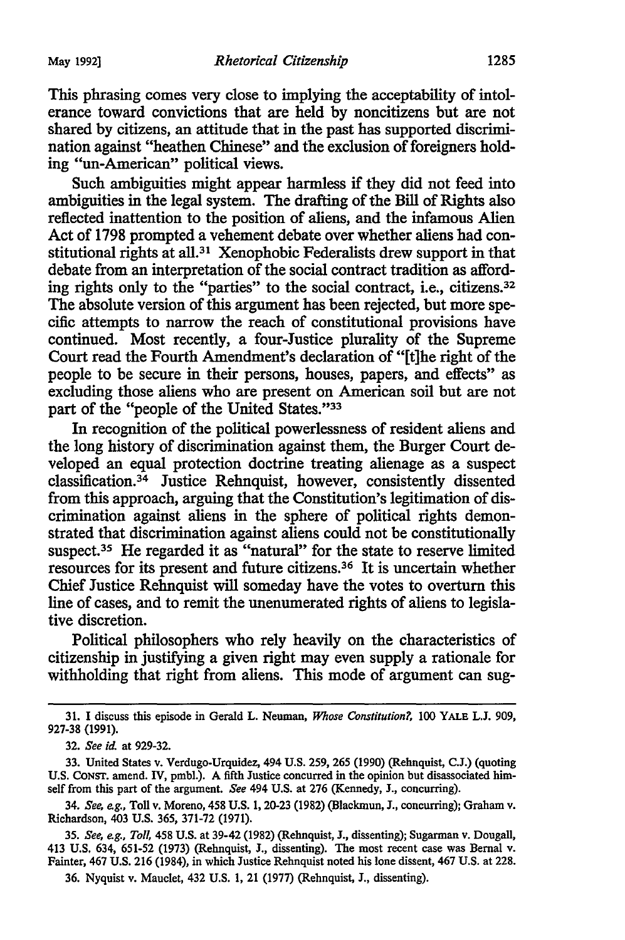This phrasing comes very close to implying the acceptability of intolerance toward convictions that are held by noncitizens but are not shared by citizens, an attitude that in the past has supported discrimination against "heathen Chinese" and the exclusion of foreigners holding "un-American" political views.

Such ambiguities might appear harmless if they did not feed into ambiguities in the legal system. The drafting of the Bill of Rights also reflected inattention to the position of aliens, and the infamous Alien Act of 1798 prompted a vehement debate over whether aliens had constitutional rights at all.31 Xenophobic Federalists drew support in that debate from an interpretation of the social contract tradition as affording rights only to the "parties" to the social contract, i.e., citizens. 32 The absolute version of this argument has been rejected, but more specific attempts to narrow the reach of constitutional provisions have continued. Most recently, a four-Justice plurality of the Supreme Court read the Fourth Amendment's declaration of "[t]he right of the people to be secure in their persons, houses, papers, and effects" as excluding those aliens who are present on American soil but are not part of the "people of the United States."33

In recognition of the political powerlessness of resident aliens and the long history of discrimination against them, the Burger Court developed an equal protection doctrine treating alienage as a suspect classification.34 Justice Rehnquist, however, consistently dissented from this approach, arguing that the Constitution's legitimation of discrimination against aliens in the sphere of political rights demonstrated that discrimination against aliens could not be constitutionally suspect.<sup>35</sup> He regarded it as "natural" for the state to reserve limited resources for its present and future citizens.<sup>36</sup> It is uncertain whether Chief Justice Rehnquist will someday have the votes to overturn this line of cases, and to remit the unenumerated rights of aliens to legislative discretion.

Political philosophers who rely heavily on the characteristics of citizenship in justifying a given right may even supply a rationale for withholding that right from aliens. This mode of argument can sug-

36. Nyquist v. Mauclet, 432 U.S. l, 21 (1977) (Rehnquist, J., dissenting).

<sup>31.</sup> I discuss this episode in Gerald L. Neuman, *Whose Constitution?,* 100 YALE L.J. 909, 927-38 (1991).

<sup>32.</sup> *See id.* at 929-32.

<sup>33.</sup> United States v. Verdugo-Urquidez, 494 U.S. 259, 265 (1990) (Rehnquist, C.J.) (quoting U.S. CoNST. amend. IV, pmbl.). A fifth Justice concurred in the opinion but disassociated himself from this part of the argument. *See* 494 U.S. at 276 (Kennedy, J., concurring).

<sup>34.</sup> *See, e.g.,* Toll v. Moreno, 458 U.S. 1, 20-23 (1982) (Blackmun, J., concurring); Graham v. Richardson, 403 U.S. 365, 371-72 (1971).

<sup>35.</sup> *See, e.g., Toll,* 458 U.S. at 39-42 (1982) (Rehnquist, J., dissenting); Sugarman v. Dougall, 413 U.S. 634, 651-52 (1973) (Rehnquist, J., dissenting). The most recent case was Bernal v. Fainter, 467 U.S. 216 (1984), in which Justice Rehnquist noted his lone dissent, 467 U.S. at 228.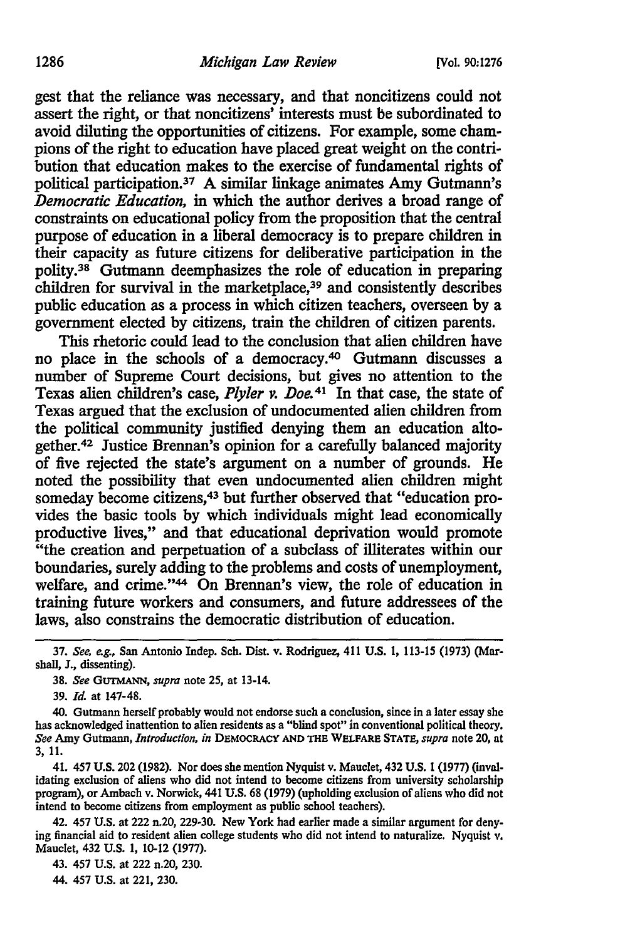#### 1286 *Michigan Law Review* [Vol. 90:1276

gest that the reliance was necessary, and that noncitizens could not assert the right, or that noncitizens' interests must be subordinated to avoid diluting the opportunities of citizens. For example, some champions of the right to education have placed great weight on the contribution that education makes to the exercise of fundamental rights of political participation.37 A similar linkage animates Amy Gutmann's *Democratic Education,* in which the author derives a broad range of constraints on educational policy from the proposition that the central purpose of education in a liberal democracy is to prepare children in their capacity as future citizens for deliberative participation in the polity.38 Gutmann deemphasizes the role of education in preparing children for survival in the marketplace,<sup>39</sup> and consistently describes public education as a process in which citizen teachers, overseen by a government elected by citizens, train the children of citizen parents.

This rhetoric could lead to the conclusion that alien children have no place in the schools of a democracy.40 Gutmann discusses a number of Supreme Court decisions, but gives no attention to the Texas alien children's case, *Plyler v. Doe.* 41 In that case, the state of Texas argued that the exclusion of undocumented alien children from the political community justified denying them an education altogether. 42 Justice Brennan's opinion for a carefully balanced majority of five rejected the state's argument on a number of grounds. He noted the possibility that even undocumented alien children might someday become citizens,<sup>43</sup> but further observed that "education provides the basic tools by which individuals might lead economically productive lives," and that educational deprivation would promote "the creation and perpetuation of a subclass of illiterates within our boundaries, surely adding to the problems and costs of unemployment, welfare, and crime."44 On Brennan's view, the role of education in training future workers and consumers, and future addressees of the laws, also constrains the democratic distribution of education.

<sup>37.</sup> *See, e.g.,* San Antonio Indep. Sch. Dist. v. Rodriguez, 411 U.S. I, 113-15 (1973) (Marshall, J., dissenting).

<sup>38.</sup> *See* GUTMANN, *supra* note 25, at 13-14.

<sup>39.</sup> *Id.* at 147-48.

<sup>40.</sup> Gutmann herself probably would not endorse such a conclusion, since in a Inter essay she has acknowledged inattention to alien residents as a "blind spot" in conventional political theory. *See* Amy Gutmann, *Introduction, in* DEMOCRACY AND TIIE WELFARE STATE, *supra* note 20, at 3, II.

<sup>41. 457</sup> U.S. 202 (1982). Nor does she mention Nyquist v. Mauclet, 432 U.S. 1 (1977) (invalidating exclusion of aliens who did not intend to become citizens from university scholarship program), or Ambach v. Norwick, 441 U.S. 68 (1979) (upholding exclusion of aliens who did not intend to become citizens from employment as public school teachers).

<sup>42. 457</sup> U.S. at 222 n.20, 229-30. New York had earlier made a similar argument for denying financial aid to resident alien college students who did not intend to naturalize. Nyquist v. Mauclet, 432 U.S. 1, 10-12 (1977).

<sup>43. 457</sup> U.S. at 222 n.20, 230.

<sup>44. 457</sup> U.S. at 221, 230.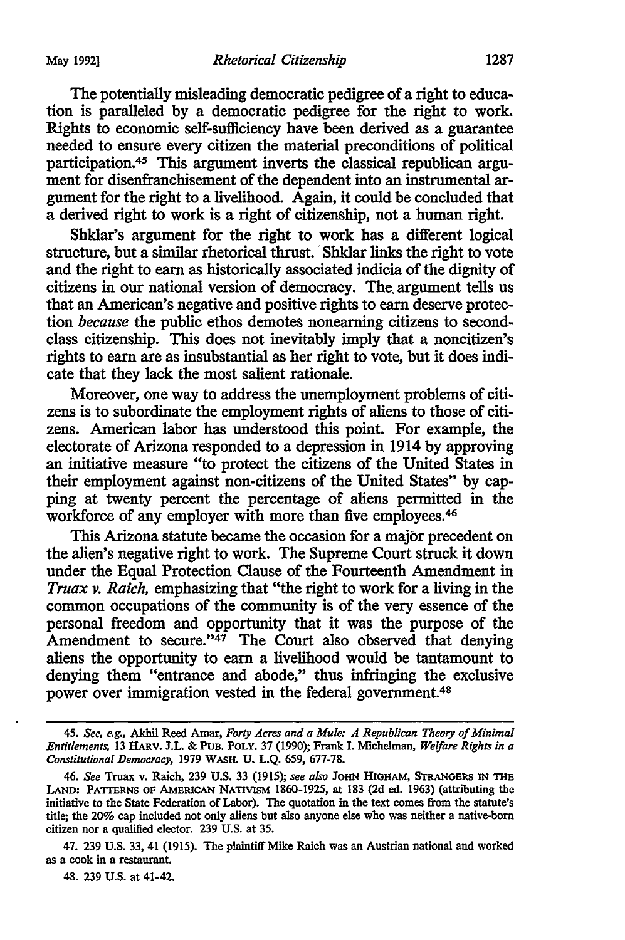The potentially misleading democratic pedigree of a right to education is paralleled by a democratic pedigree for the right to work. Rights to economic self-sufficiency have been derived as a guarantee needed to ensure every citizen the material preconditions of political participation.<sup>45</sup> This argument inverts the classical republican argument for disenfranchisement of the dependent into an instrumental argument for the right to a livelihood. Again, it could be concluded that a derived right to work is a right of citizenship, not a human right.

Shklar's argument for the right to work has a different logical structure, but a similar rhetorical thrust. Shklar links the right to vote and the right to earn as historically associated indicia of the dignity of citizens in our national version of democracy. The argument tells us that an American's negative and positive rights to earn deserve protection *because* the public ethos demotes nonearning citizens to secondclass citizenship. This does not inevitably imply that a noncitizen's rights to earn are as insubstantial as her right to vote, but it does indicate that they lack the most salient rationale.

Moreover, one way to address the unemployment problems of citizens is to subordinate the employment rights of aliens to those of citizens. American labor has understood this point. For example, the electorate of Arizona responded to a depression in 1914 by approving an initiative measure "to protect the citizens of the United States in their employment against non-citizens of the United States" by capping at twenty percent the percentage of aliens permitted in the workforce of any employer with more than five employees.<sup>46</sup>

This Arizona statute became the occasion for a major precedent on the alien's negative right to work. The Supreme Court struck it down under the Equal Protection Clause of the Fourteenth Amendment in *Truax v. Raich,* emphasizing that "the right to work for a living in the common occupations of the community is of the very essence of the personal freedom and opportunity that it was the purpose of the Amendment to secure." $47$  The Court also observed that denying aliens the opportunity to earn a livelihood would be tantamount to denying them "entrance and abode," thus infringing the exclusive power over immigration vested in the federal government.<sup>48</sup>

48. 239 U.S. at 41-42.

<sup>45.</sup> *See, e.g.,* Akhil Reed Amar, *Forty Acres and a Mule: A Republican Theory of Minimal Entitlements,* 13 HARV. J.L. & PUB. POLY. 37 (1990); Frank I. Michelman, *Welfare Rights in a Constitutional Democracy,* 1979 WASH. U. L.Q. 659, 677-78.

<sup>46.</sup> *See* Truax v. Raich, 239 U.S. 33 (1915); *see also* JoHN HIGHAM, STRANGERS IN ,THE LAND: PATIERNS OF AMERICAN NATIVISM 1860-1925, at 183 (2d ed. 1963) (attributing the initiative to the State Federation of Labor). The quotation in the text comes from the statute's title; the 20% cap included not only aliens but also anyone else who was neither a native-born citizen nor a qualified elector. 239 U.S. at 35.

<sup>47. 239</sup> U.S. 33, 41 (1915). The plaintiff Mike Raich was an Austrian national and worked as a cook in a restaurant.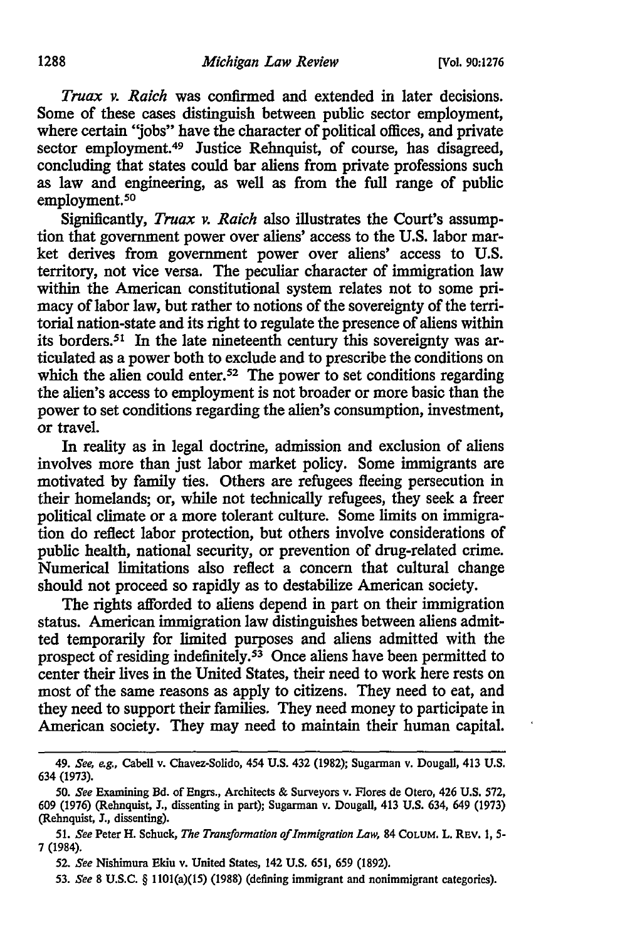*Truax v. Raich* was confirmed and extended in later decisions. Some of these cases distinguish between public sector employment, where certain "jobs" have the character of political offices, and private sector employment.<sup>49</sup> Justice Rehnquist, of course, has disagreed, concluding that states could bar aliens from private professions such as law and engineering, as well as from the full range of public employment. *so* 

Significantly, *Truax v. Raich* also illustrates the Court's assumption that government power over aliens' access to the U.S. labor market derives from government power over aliens' access to U.S. territory, not vice versa. The peculiar character of immigration law within the American constitutional system relates not to some primacy of labor law, but rather to notions of the sovereignty of the territorial nation-state and its right to regulate the presence of aliens within its borders.51 In the late nineteenth century this sovereignty was articulated as a power both to exclude and to prescribe the conditions on which the alien could enter.<sup>52</sup> The power to set conditions regarding the alien's access to employment is not broader or more basic than the power to set conditions regarding the alien's consumption, investment, or travel.

In reality as in legal doctrine, admission and exclusion of aliens involves more than just labor market policy. Some immigrants are motivated by family ties. Others are refugees fleeing persecution in their homelands; or, while not technically refugees, they seek a freer political climate or a more tolerant culture. Some limits on immigration do reflect labor protection, but others involve considerations of public health, national security, or prevention of drug-related crime. Numerical limitations also reflect a concern that cultural change should not proceed so rapidly as to destabilize American society.

The rights afforded to aliens depend in part on their immigration status. American immigration law distinguishes between aliens admitted temporarily for limited purposes and aliens admitted with the prospect of residing indefinitely.<sup>53</sup> Once aliens have been permitted to center their lives in the United States, their need to work here rests on most of the same reasons as apply to citizens. They need to eat, and they need to support their families. They need money to participate in American society. They may need to maintain their human capital.

<sup>49.</sup> *See, e.g.,* Cabell v. Chavez-Solido, 454 U.S. 432 (1982); Sugarman v. Dougall, 413 U.S. 634 (1973).

<sup>50.</sup> *See* Examining Bd. of Engrs., Architects & Surveyors v. Flores de Otero, 426 U.S. 572, 609 (1976) (Rehnquist, J., dissenting in part); Sugarman v. Dougall, 413 U.S. 634, 649 (1973) (Rehnquist, J., dissenting).

<sup>51.</sup> *See* Peter H. Schuck, *The Transformation of Immigration Law,* 84 CoLUM. L. REV. 1, 5- 7 (1984).

<sup>52.</sup> *See* Nishimura Ekiu v. United States, 142 U.S. 651, 659 (1892).

<sup>53.</sup> *See* 8 U.S.C. § 1101(a)(15) (1988) (defining immigrant and nonimmigrant categories).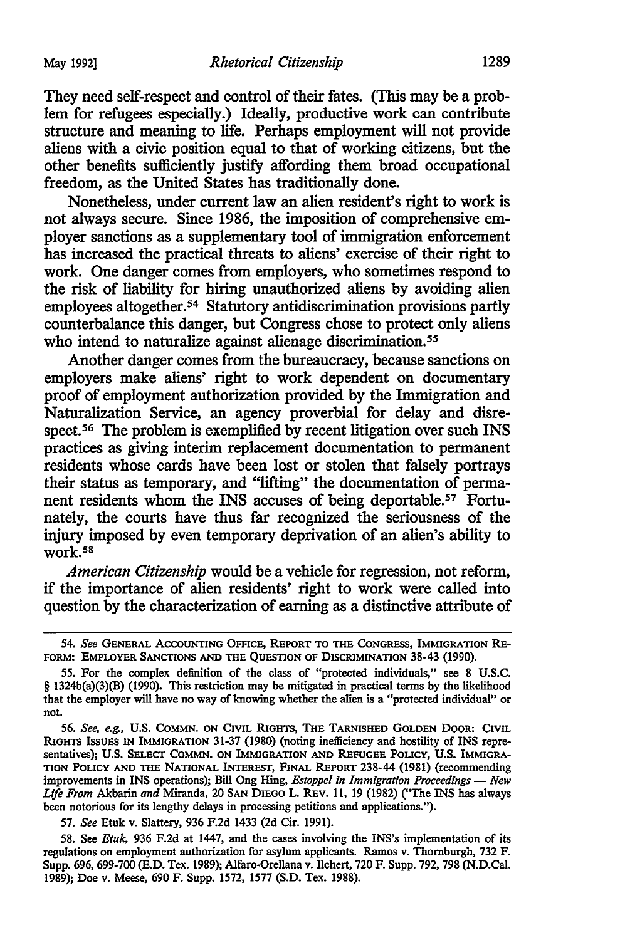They need self-respect and control of their fates. (This may be a problem for refugees especially.) Ideally, productive work can contribute structure and meaning to life. Perhaps employment will not provide aliens with a civic position equal to that of working citizens, but the other benefits sufficiently justify affording them broad occupational freedom, as the United States has traditionally done.

Nonetheless, under current law an alien resident's right to work is not always secure. Since 1986, the imposition of comprehensive employer sanctions as a supplementary tool of immigration enforcement has increased the practical threats to aliens' exercise of their right to work. One danger comes from employers, who sometimes respond to the risk of liability for hiring unauthorized aliens by avoiding alien employees altogether.<sup>54</sup> Statutory antidiscrimination provisions partly counterbalance this danger, but Congress chose to protect only aliens who intend to naturalize against alienage discrimination. *ss* 

Another danger comes from the bureaucracy, because sanctions on employers make aliens' right to work dependent on documentary proof of employment authorization provided by the Immigration and Naturalization Service, an agency proverbial for delay and disrespect.<sup>56</sup> The problem is exemplified by recent litigation over such INS practices as giving interim replacement documentation to permanent residents whose cards have been lost or stolen that falsely portrays their status as temporary, and "lifting" the documentation of permanent residents whom the INS accuses of being deportable.<sup>57</sup> Fortunately, the courts have thus far recognized the seriousness of the injury imposed by even temporary deprivation of an alien's ability to work.<sup>58</sup>

*American Citizenship* would be a vehicle for regression, not reform, if the importance of alien residents' right to work were called into question by the characterization of earning as a distinctive attribute of

*S1. See* Etuk v. Slattery, 936 F.2d 1433 (2d Cir. 1991).

S8. See *Etuk,* 936 F.2d at 1447, and the cases involving the INS's implementation of its regulations on employment authorization for asylum applicants. Ramos v. Thornburgh, 732 F. Supp. 696, 699-700 (E.D. Tex. 1989); Alfaro-Orellana v. Ilchert, 720 F. Supp. 792, 798 (N.D.Cal. 1989); Doe v. Meese, 690 F. Supp. 1S72, 1S77 (S.D. Tex. 1988).

S4. *See* GENERAL ACCOUNTING OFFICE, REPORT TO THE CoNGRESS, IMMIGRATION RE-FORM: EMPLOYER SANCTIONS AND THE QUESTION OF DISCRIMINATION 38-43 (1990).

*SS.* For the complex definition of the class of "protected individuals," see 8 U.S.C. § 1324b(a)(3)(B) (1990). This restriction may be mitigated in practical terms by the likelihood that the employer will have no way of knowing whether the alien is a "protected individual" or not.

*S6. See, e.g.,* U.S. CoMMN. ON CIVIL RIGHTS, THE TARNISHED GOLDEN DOOR: CIVIL RIGHTS lssUES IN IMMIGRATION 31-37 (1980) (noting inefficiency and hostility of INS representatives); U.S. SELECT COMMN. ON IMMIGRATION AND REFUGEE POLICY, U.S. IMMIGRA-TION POLICY AND THE NATIONAL INTEREST, FINAL REPORT 238-44 (1981) (recommending improvements in INS operations); Bill Ong Hing, *Estoppel in Immigration Proceedings* - *New Life From* Akbarin *and* Miranda, 20 SAN DIEGO L. REv. 11, 19 (1982) ("The INS has always been notorious for its lengthy delays in processing petitions and applications.").